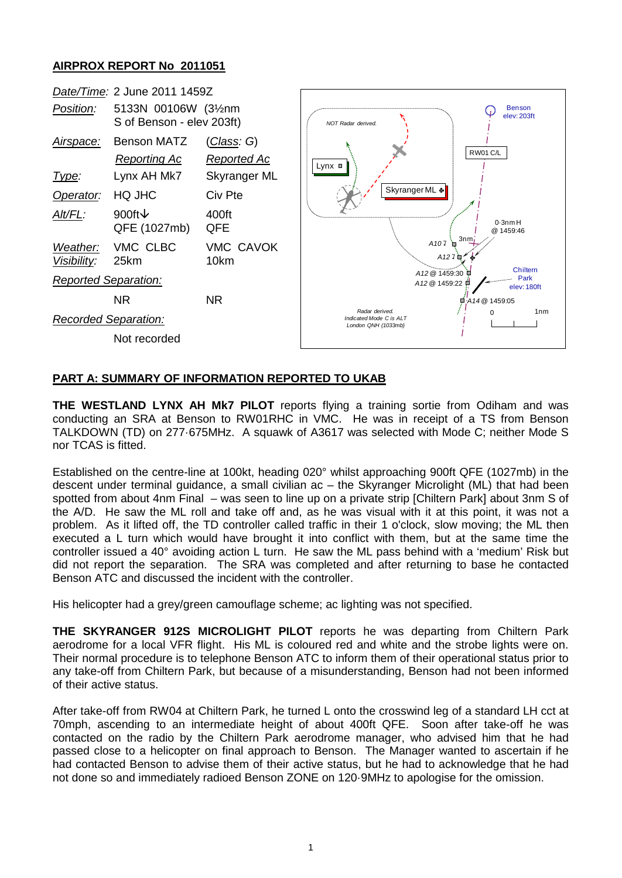## **AIRPROX REPORT No 2011051**



## **PART A: SUMMARY OF INFORMATION REPORTED TO UKAB**

**THE WESTLAND LYNX AH Mk7 PILOT** reports flying a training sortie from Odiham and was conducting an SRA at Benson to RW01RHC in VMC. He was in receipt of a TS from Benson TALKDOWN (TD) on 277·675MHz. A squawk of A3617 was selected with Mode C; neither Mode S nor TCAS is fitted.

Established on the centre-line at 100kt, heading 020° whilst approaching 900ft QFE (1027mb) in the descent under terminal guidance, a small civilian ac – the Skyranger Microlight (ML) that had been spotted from about 4nm Final – was seen to line up on a private strip [Chiltern Park] about 3nm S of the A/D. He saw the ML roll and take off and, as he was visual with it at this point, it was not a problem. As it lifted off, the TD controller called traffic in their 1 o'clock, slow moving; the ML then executed a L turn which would have brought it into conflict with them, but at the same time the controller issued a 40° avoiding action L turn. He saw the ML pass behind with a 'medium' Risk but did not report the separation. The SRA was completed and after returning to base he contacted Benson ATC and discussed the incident with the controller.

His helicopter had a grey/green camouflage scheme; ac lighting was not specified.

**THE SKYRANGER 912S MICROLIGHT PILOT** reports he was departing from Chiltern Park aerodrome for a local VFR flight. His ML is coloured red and white and the strobe lights were on. Their normal procedure is to telephone Benson ATC to inform them of their operational status prior to any take-off from Chiltern Park, but because of a misunderstanding, Benson had not been informed of their active status.

After take-off from RW04 at Chiltern Park, he turned L onto the crosswind leg of a standard LH cct at 70mph, ascending to an intermediate height of about 400ft QFE. Soon after take-off he was contacted on the radio by the Chiltern Park aerodrome manager, who advised him that he had passed close to a helicopter on final approach to Benson. The Manager wanted to ascertain if he had contacted Benson to advise them of their active status, but he had to acknowledge that he had not done so and immediately radioed Benson ZONE on 120·9MHz to apologise for the omission.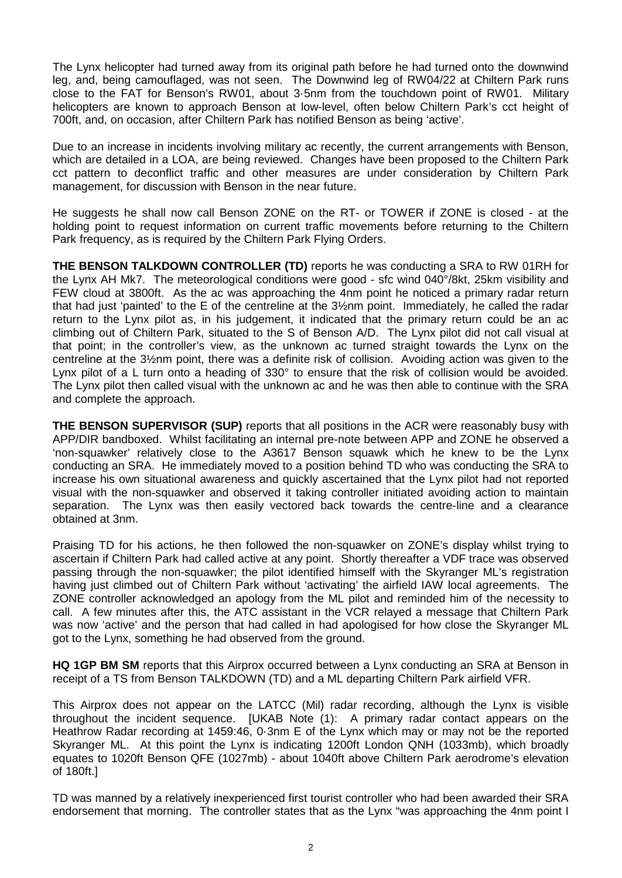The Lynx helicopter had turned away from its original path before he had turned onto the downwind leg, and, being camouflaged, was not seen. The Downwind leg of RW04/22 at Chiltern Park runs close to the FAT for Benson's RW01, about 3·5nm from the touchdown point of RW01. Military helicopters are known to approach Benson at low-level, often below Chiltern Park's cct height of 700ft, and, on occasion, after Chiltern Park has notified Benson as being 'active'.

Due to an increase in incidents involving military ac recently, the current arrangements with Benson, which are detailed in a LOA, are being reviewed. Changes have been proposed to the Chiltern Park cct pattern to deconflict traffic and other measures are under consideration by Chiltern Park management, for discussion with Benson in the near future.

He suggests he shall now call Benson ZONE on the RT- or TOWER if ZONE is closed - at the holding point to request information on current traffic movements before returning to the Chiltern Park frequency, as is required by the Chiltern Park Flying Orders.

**THE BENSON TALKDOWN CONTROLLER (TD)** reports he was conducting a SRA to RW 01RH for the Lynx AH Mk7. The meteorological conditions were good - sfc wind 040°/8kt, 25km visibility and FEW cloud at 3800ft. As the ac was approaching the 4nm point he noticed a primary radar return that had just 'painted' to the E of the centreline at the 3½nm point. Immediately, he called the radar return to the Lynx pilot as, in his judgement, it indicated that the primary return could be an ac climbing out of Chiltern Park, situated to the S of Benson A/D. The Lynx pilot did not call visual at that point; in the controller's view, as the unknown ac turned straight towards the Lynx on the centreline at the 3½nm point, there was a definite risk of collision. Avoiding action was given to the Lynx pilot of a L turn onto a heading of 330° to ensure that the risk of collision would be avoided. The Lynx pilot then called visual with the unknown ac and he was then able to continue with the SRA and complete the approach.

**THE BENSON SUPERVISOR (SUP)** reports that all positions in the ACR were reasonably busy with APP/DIR bandboxed. Whilst facilitating an internal pre-note between APP and ZONE he observed a 'non-squawker' relatively close to the A3617 Benson squawk which he knew to be the Lynx conducting an SRA. He immediately moved to a position behind TD who was conducting the SRA to increase his own situational awareness and quickly ascertained that the Lynx pilot had not reported visual with the non-squawker and observed it taking controller initiated avoiding action to maintain separation. The Lynx was then easily vectored back towards the centre-line and a clearance obtained at 3nm.

Praising TD for his actions, he then followed the non-squawker on ZONE's display whilst trying to ascertain if Chiltern Park had called active at any point. Shortly thereafter a VDF trace was observed passing through the non-squawker; the pilot identified himself with the Skyranger ML's registration having just climbed out of Chiltern Park without 'activating' the airfield IAW local agreements. The ZONE controller acknowledged an apology from the ML pilot and reminded him of the necessity to call. A few minutes after this, the ATC assistant in the VCR relayed a message that Chiltern Park was now 'active' and the person that had called in had apologised for how close the Skyranger ML got to the Lynx, something he had observed from the ground.

**HQ 1GP BM SM** reports that this Airprox occurred between a Lynx conducting an SRA at Benson in receipt of a TS from Benson TALKDOWN (TD) and a ML departing Chiltern Park airfield VFR.

This Airprox does not appear on the LATCC (Mil) radar recording, although the Lynx is visible throughout the incident sequence. [UKAB Note (1): A primary radar contact appears on the Heathrow Radar recording at 1459:46, 0·3nm E of the Lynx which may or may not be the reported Skyranger ML. At this point the Lynx is indicating 1200ft London QNH (1033mb), which broadly equates to 1020ft Benson QFE (1027mb) - about 1040ft above Chiltern Park aerodrome's elevation of 180ft.]

TD was manned by a relatively inexperienced first tourist controller who had been awarded their SRA endorsement that morning. The controller states that as the Lynx "was approaching the 4nm point I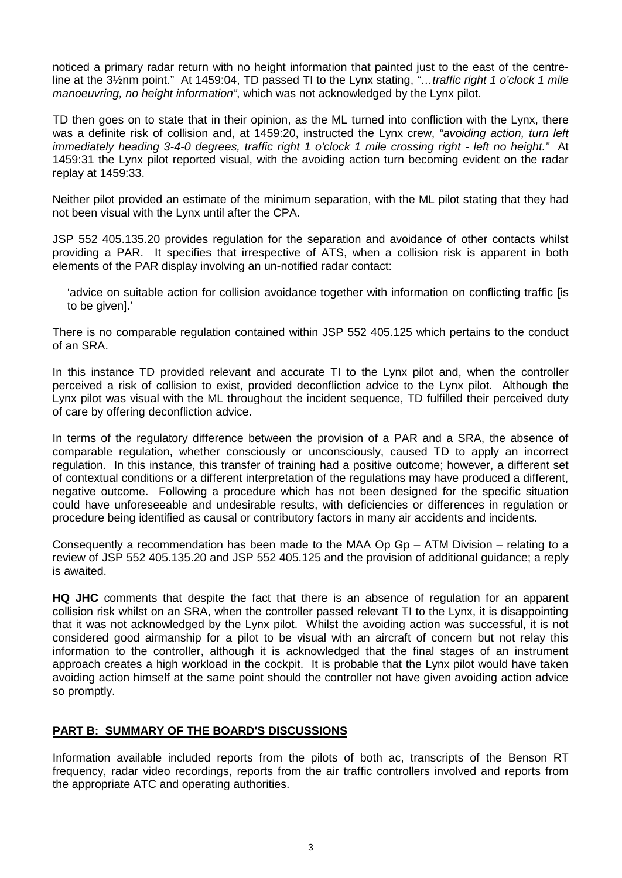noticed a primary radar return with no height information that painted just to the east of the centreline at the 3½nm point." At 1459:04, TD passed TI to the Lynx stating, *"…traffic right 1 o'clock 1 mile manoeuvring, no height information"*, which was not acknowledged by the Lynx pilot.

TD then goes on to state that in their opinion, as the ML turned into confliction with the Lynx, there was a definite risk of collision and, at 1459:20, instructed the Lynx crew, *"avoiding action, turn left immediately heading 3-4-0 degrees, traffic right 1 o'clock 1 mile crossing right - left no height."* At 1459:31 the Lynx pilot reported visual, with the avoiding action turn becoming evident on the radar replay at 1459:33.

Neither pilot provided an estimate of the minimum separation, with the ML pilot stating that they had not been visual with the Lynx until after the CPA.

JSP 552 405.135.20 provides regulation for the separation and avoidance of other contacts whilst providing a PAR. It specifies that irrespective of ATS, when a collision risk is apparent in both elements of the PAR display involving an un-notified radar contact:

'advice on suitable action for collision avoidance together with information on conflicting traffic [is to be given].'

There is no comparable regulation contained within JSP 552 405.125 which pertains to the conduct of an SRA.

In this instance TD provided relevant and accurate TI to the Lynx pilot and, when the controller perceived a risk of collision to exist, provided deconfliction advice to the Lynx pilot. Although the Lynx pilot was visual with the ML throughout the incident sequence, TD fulfilled their perceived duty of care by offering deconfliction advice.

In terms of the regulatory difference between the provision of a PAR and a SRA, the absence of comparable regulation, whether consciously or unconsciously, caused TD to apply an incorrect regulation. In this instance, this transfer of training had a positive outcome; however, a different set of contextual conditions or a different interpretation of the regulations may have produced a different, negative outcome. Following a procedure which has not been designed for the specific situation could have unforeseeable and undesirable results, with deficiencies or differences in regulation or procedure being identified as causal or contributory factors in many air accidents and incidents.

Consequently a recommendation has been made to the MAA Op Gp – ATM Division – relating to a review of JSP 552 405.135.20 and JSP 552 405.125 and the provision of additional guidance; a reply is awaited.

**HQ JHC** comments that despite the fact that there is an absence of regulation for an apparent collision risk whilst on an SRA, when the controller passed relevant TI to the Lynx, it is disappointing that it was not acknowledged by the Lynx pilot. Whilst the avoiding action was successful, it is not considered good airmanship for a pilot to be visual with an aircraft of concern but not relay this information to the controller, although it is acknowledged that the final stages of an instrument approach creates a high workload in the cockpit. It is probable that the Lynx pilot would have taken avoiding action himself at the same point should the controller not have given avoiding action advice so promptly.

## **PART B: SUMMARY OF THE BOARD'S DISCUSSIONS**

Information available included reports from the pilots of both ac, transcripts of the Benson RT frequency, radar video recordings, reports from the air traffic controllers involved and reports from the appropriate ATC and operating authorities.